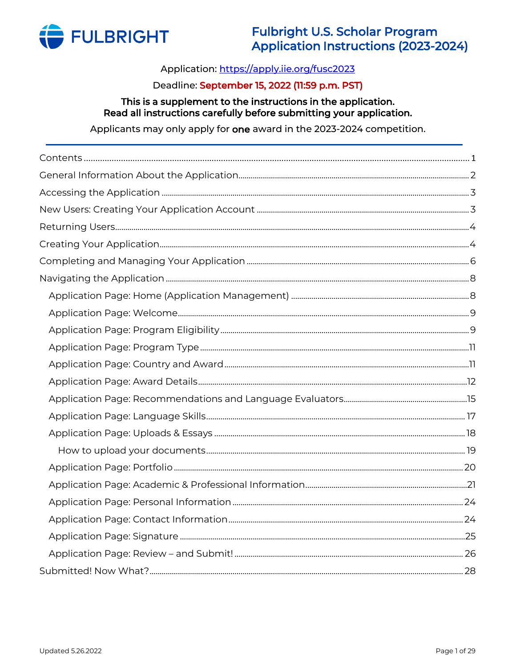

# Application: https://apply.iie.org/fusc2023

## Deadline: September 15, 2022 (11:59 p.m. PST)

#### This is a supplement to the instructions in the application. Read all instructions carefully before submitting your application.

Applicants may only apply for one award in the 2023-2024 competition.

<span id="page-0-0"></span>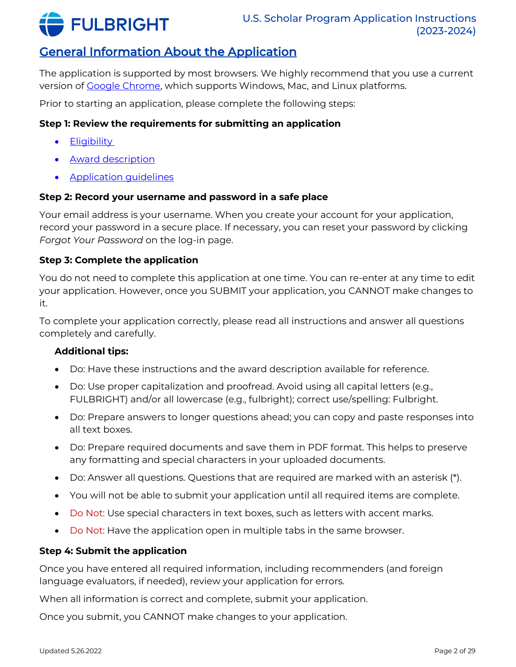

# <span id="page-1-0"></span>General Information About the Application

The application is supported by most browsers. We highly recommend that you use a current version of [Google Chrome,](https://www.google.com/chrome/) which supports Windows, Mac, and Linux platforms.

Prior to starting an application, please complete the following steps:

## **Step 1: Review the requirements for submitting an application**

- [Eligibility](https://fulbrightscholars.org/us-scholar-awards#eligibility)
- [Award description](https://fulbrightscholars.org/awards/search)
- [Application guidelines](https://fulbrightscholars.org/us-scholar-awards#steps)

### **Step 2: Record your username and password in a safe place**

Your email address is your username. When you create your account for your application, record your password in a secure place. If necessary, you can reset your password by clicking *Forgot Your Password* on the log-in page.

### **Step 3: Complete the application**

You do not need to complete this application at one time. You can re-enter at any time to edit your application. However, once you SUBMIT your application, you CANNOT make changes to it.

To complete your application correctly, please read all instructions and answer all questions completely and carefully.

### **Additional tips:**

- Do: Have these instructions and the award description available for reference.
- Do: Use proper capitalization and proofread. Avoid using all capital letters (e.g., FULBRIGHT) and/or all lowercase (e.g., fulbright); correct use/spelling: Fulbright.
- Do: Prepare answers to longer questions ahead; you can copy and paste responses into all text boxes.
- Do: Prepare required documents and save them in PDF format. This helps to preserve any formatting and special characters in your uploaded documents.
- Do: Answer all questions. Questions that are required are marked with an asterisk (\*).
- You will not be able to submit your application until all required items are complete.
- Do Not: Use special characters in text boxes, such as letters with accent marks.
- Do Not: Have the application open in multiple tabs in the same browser.

### **Step 4: Submit the application**

Once you have entered all required information, including recommenders (and foreign language evaluators, if needed), review your application for errors.

When all information is correct and complete, submit your application.

Once you submit, you CANNOT make changes to your application.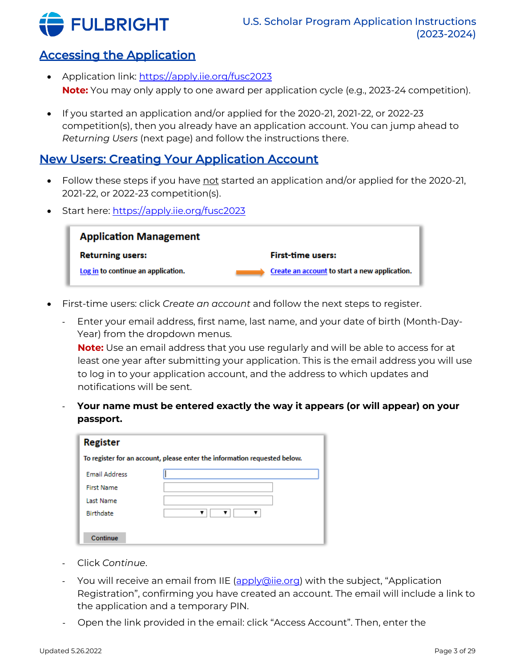

# <span id="page-2-0"></span>Accessing the Application

- Application link: <https://apply.iie.org/fusc2023> **Note:** You may only apply to one award per application cycle (e.g., 2023-24 competition).
- If you started an application and/or applied for the 2020-21, 2021-22, or 2022-23 competition(s), then you already have an application account. You can jump ahead to *Returning Users* (next page) and follow the instructions there.

# <span id="page-2-1"></span>New Users: Creating Your Application Account

- Follow these steps if you have not started an application and/or applied for the 2020-21, 2021-22, or 2022-23 competition(s).
- Start here: <https://apply.iie.org/fusc2023>



- First-time users: click *Create an account* and follow the next steps to register.
	- Enter your email address, first name, last name, and your date of birth (Month-Day-Year) from the dropdown menus.

**Note:** Use an email address that you use regularly and will be able to access for at least one year after submitting your application. This is the email address you will use to log in to your application account, and the address to which updates and notifications will be sent.

- **Your name must be entered exactly the way it appears (or will appear) on your passport.**

| <b>Register</b>      |                                                                           |
|----------------------|---------------------------------------------------------------------------|
|                      | To register for an account, please enter the information requested below. |
| <b>Email Address</b> |                                                                           |
| <b>First Name</b>    |                                                                           |
| Last Name            |                                                                           |
| <b>Birthdate</b>     |                                                                           |
|                      |                                                                           |
| Continue             |                                                                           |

- Click *Continue*.
- You will receive an email from IIE [\(apply@iie.org\)](mailto:apply@iie.org) with the subject, "Application Registration", confirming you have created an account. The email will include a link to the application and a temporary PIN.
- Open the link provided in the email: click "Access Account". Then, enter the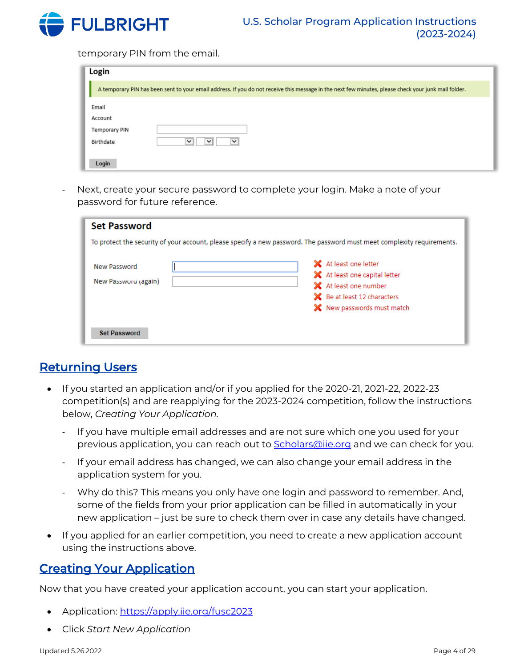

temporary PIN from the email.

| Login         |                                                                                                                                                      |
|---------------|------------------------------------------------------------------------------------------------------------------------------------------------------|
|               | A temporary PIN has been sent to your email address. If you do not receive this message in the next few minutes, please check your junk mail folder. |
| Email         |                                                                                                                                                      |
| Account       |                                                                                                                                                      |
| Temporary PIN |                                                                                                                                                      |
| Birthdate     | $\check{ }$<br>$\checkmark$<br>$\checkmark$                                                                                                          |
| Login         |                                                                                                                                                      |

Next, create your secure password to complete your login. Make a note of your password for future reference.

| <b>Set Password</b>                  |                                                                                                                                            |
|--------------------------------------|--------------------------------------------------------------------------------------------------------------------------------------------|
|                                      | To protect the security of your account, please specify a new password. The password must meet complexity requirements.                    |
| New Password<br>New Password (again) | X At least one letter<br>X At least one capital letter<br>X At least one number<br>Be at least 12 characters<br>X New passwords must match |
| <b>Set Password</b>                  |                                                                                                                                            |

# <span id="page-3-0"></span>Returning Users

- If you started an application and/or if you applied for the 2020-21, 2021-22, 2022-23 competition(s) and are reapplying for the 2023-2024 competition, follow the instructions below, *Creating Your Application.*
	- If you have multiple email addresses and are not sure which one you used for your previous application, you can reach out to **Scholars@iie.org** and we can check for you.
	- If your email address has changed, we can also change your email address in the application system for you.
	- Why do this? This means you only have one login and password to remember. And, some of the fields from your prior application can be filled in automatically in your new application – just be sure to check them over in case any details have changed.
- If you applied for an earlier competition, you need to create a new application account using the instructions above.

# <span id="page-3-1"></span>Creating Your Application

Now that you have created your application account, you can start your application.

- Application: <https://apply.iie.org/fusc2023>
- Click *Start New Application*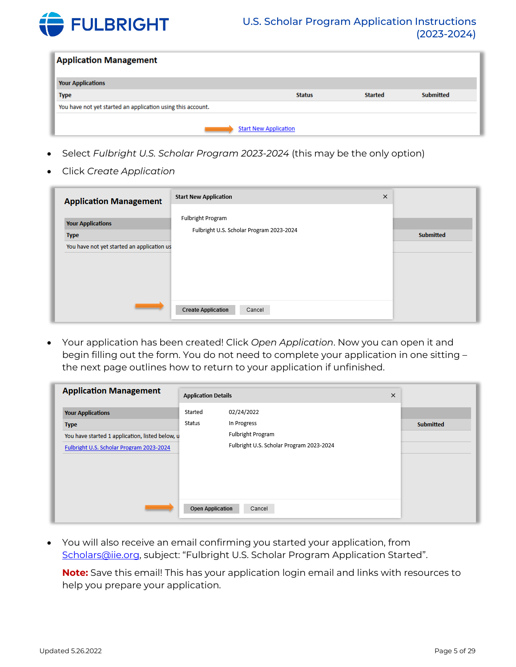

| <b>Application Management</b>                               |                              |                |                  |
|-------------------------------------------------------------|------------------------------|----------------|------------------|
| <b>Your Applications</b>                                    |                              |                |                  |
| <b>Type</b>                                                 | <b>Status</b>                | <b>Started</b> | <b>Submitted</b> |
| You have not yet started an application using this account. |                              |                |                  |
|                                                             |                              |                |                  |
|                                                             | <b>Start New Application</b> |                |                  |

- Select *Fulbright U.S. Scholar Program 2023-2024* (this may be the only option)
- Click *Create Application*

| <b>Application Management</b>              | ×<br><b>Start New Application</b>                             |                  |
|--------------------------------------------|---------------------------------------------------------------|------------------|
| <b>Your Applications</b><br><b>Type</b>    | Fulbright Program<br>Fulbright U.S. Scholar Program 2023-2024 | <b>Submitted</b> |
| You have not yet started an application us |                                                               |                  |
|                                            |                                                               |                  |
|                                            |                                                               |                  |
|                                            |                                                               |                  |
|                                            | <b>Create Application</b><br>Cancel                           |                  |

• Your application has been created! Click *Open Application*. Now you can open it and begin filling out the form. You do not need to complete your application in one sitting – the next page outlines how to return to your application if unfinished.

| <b>Application Management</b>                   |                         | <b>Application Details</b><br>$\times$   |  |                  |
|-------------------------------------------------|-------------------------|------------------------------------------|--|------------------|
| <b>Your Applications</b>                        | Started                 | 02/24/2022                               |  |                  |
| <b>Type</b>                                     | Status                  | In Progress                              |  | <b>Submitted</b> |
| You have started 1 application, listed below, u |                         | Fulbright Program                        |  |                  |
| Fulbright U.S. Scholar Program 2023-2024        |                         | Fulbright U.S. Scholar Program 2023-2024 |  |                  |
|                                                 |                         |                                          |  |                  |
|                                                 |                         |                                          |  |                  |
|                                                 |                         |                                          |  |                  |
|                                                 |                         |                                          |  |                  |
|                                                 | <b>Open Application</b> | Cancel                                   |  |                  |
|                                                 |                         |                                          |  |                  |

• You will also receive an email confirming you started your application, from [Scholars@iie.org](mailto:Scholars@iie.org), subject: "Fulbright U.S. Scholar Program Application Started".

**Note:** Save this email! This has your application login email and links with resources to help you prepare your application.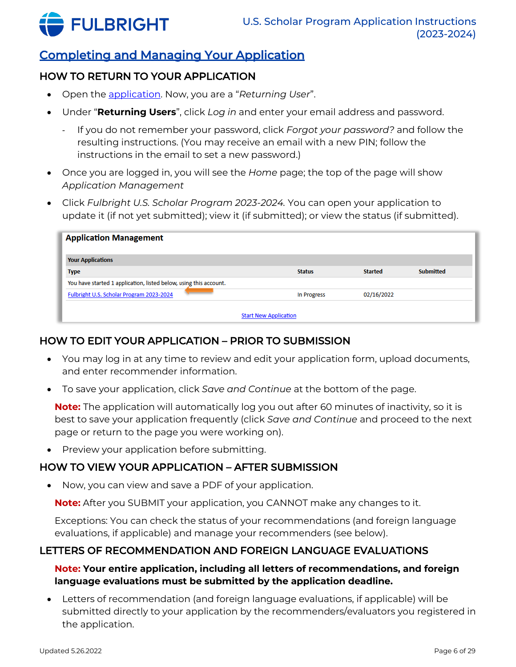

# <span id="page-5-0"></span>Completing and Managing Your Application

# HOW TO RETURN TO YOUR APPLICATION

- Open the [application.](https://apply.iie.org/fusc2023) Now, you are a "*Returning User*".
- Under "**Returning Users**", click *Log in* and enter your email address and password.
	- If you do not remember your password, click *Forgot your password?* and follow the resulting instructions. (You may receive an email with a new PIN; follow the instructions in the email to set a new password.)
- Once you are logged in, you will see the *Home* page; the top of the page will show *Application Management*
- Click *Fulbright U.S. Scholar Program 2023-2024.* You can open your application to update it (if not yet submitted); view it (if submitted); or view the status (if submitted).

| <b>Application Management</b>                                     |                              |                |                  |
|-------------------------------------------------------------------|------------------------------|----------------|------------------|
| <b>Your Applications</b>                                          |                              |                |                  |
| <b>Type</b>                                                       | <b>Status</b>                | <b>Started</b> | <b>Submitted</b> |
| You have started 1 application, listed below, using this account. |                              |                |                  |
| Fulbright U.S. Scholar Program 2023-2024                          | <b>In Progress</b>           | 02/16/2022     |                  |
|                                                                   |                              |                |                  |
|                                                                   | <b>Start New Application</b> |                |                  |

# HOW TO EDIT YOUR APPLICATION – PRIOR TO SUBMISSION

- You may log in at any time to review and edit your application form, upload documents, and enter recommender information.
- To save your application, click *Save and Continue* at the bottom of the page.

**Note:** The application will automatically log you out after 60 minutes of inactivity, so it is best to save your application frequently (click *Save and Continue* and proceed to the next page or return to the page you were working on).

• Preview your application before submitting.

# HOW TO VIEW YOUR APPLICATION – AFTER SUBMISSION

• Now, you can view and save a PDF of your application.

**Note:** After you SUBMIT your application, you CANNOT make any changes to it.

Exceptions: You can check the status of your recommendations (and foreign language evaluations, if applicable) and manage your recommenders (see below).

# LETTERS OF RECOMMENDATION AND FOREIGN LANGUAGE EVALUATIONS

## **Note: Your entire application, including all letters of recommendations, and foreign language evaluations must be submitted by the application deadline.**

• Letters of recommendation (and foreign language evaluations, if applicable) will be submitted directly to your application by the recommenders/evaluators you registered in the application.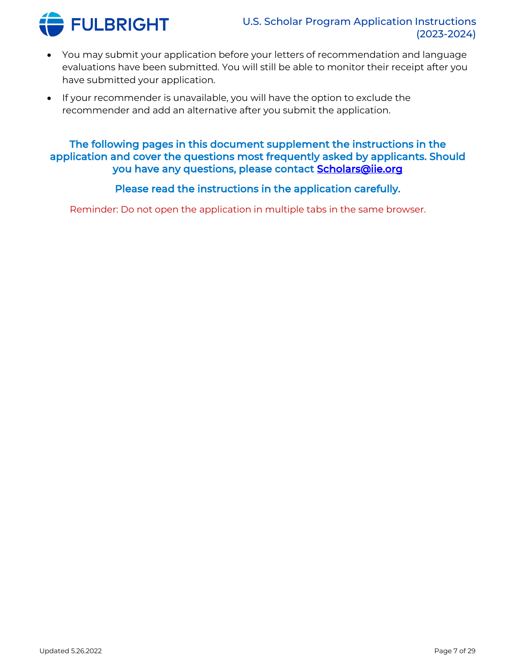

- You may submit your application before your letters of recommendation and language evaluations have been submitted. You will still be able to monitor their receipt after you have submitted your application.
- If your recommender is unavailable, you will have the option to exclude the recommender and add an alternative after you submit the application.

# The following pages in this document supplement the instructions in the application and cover the questions most frequently asked by applicants. Should you have any questions, please contact **Scholars@iie.org**

# Please read the instructions in the application carefully.

Reminder: Do not open the application in multiple tabs in the same browser.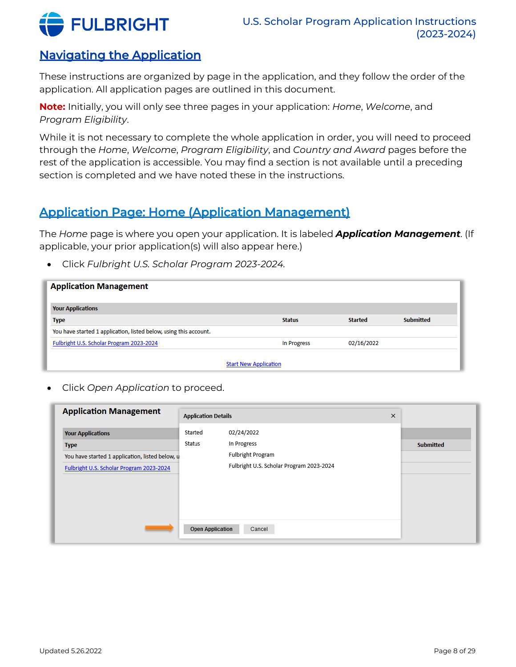

# <span id="page-7-0"></span>Navigating the Application

These instructions are organized by page in the application, and they follow the order of the application. All application pages are outlined in this document.

**Note:** Initially, you will only see three pages in your application: *Home*, *Welcome*, and *Program Eligibility*.

While it is not necessary to complete the whole application in order, you will need to proceed through the *Home*, *Welcome*, *Program Eligibility*, and *Country and Award* pages before the rest of the application is accessible. You may find a section is not available until a preceding section is completed and we have noted these in the instructions.

# <span id="page-7-1"></span>Application Page: Home (Application Management)

The *Home* page is where you open your application. It is labeled *Application Management*. (If applicable, your prior application(s) will also appear here.)

• Click *Fulbright U.S. Scholar Program 2023-2024.*

| <b>Application Management</b>                                     |                              |                |                  |
|-------------------------------------------------------------------|------------------------------|----------------|------------------|
| <b>Your Applications</b>                                          |                              |                |                  |
| <b>Type</b>                                                       | <b>Status</b>                | <b>Started</b> | <b>Submitted</b> |
| You have started 1 application, listed below, using this account. |                              |                |                  |
| Fulbright U.S. Scholar Program 2023-2024                          | In Progress                  | 02/16/2022     |                  |
|                                                                   |                              |                |                  |
|                                                                   | <b>Start New Application</b> |                |                  |

• Click *Open Application* to proceed.

| <b>Application Management</b>                   | <b>Application Details</b> |                                          | × |                  |
|-------------------------------------------------|----------------------------|------------------------------------------|---|------------------|
| <b>Your Applications</b>                        | Started                    | 02/24/2022                               |   |                  |
| <b>Type</b>                                     | Status                     | In Progress                              |   | <b>Submitted</b> |
| You have started 1 application, listed below, u |                            | Fulbright Program                        |   |                  |
| Fulbright U.S. Scholar Program 2023-2024        |                            | Fulbright U.S. Scholar Program 2023-2024 |   |                  |
|                                                 |                            |                                          |   |                  |
|                                                 |                            |                                          |   |                  |
|                                                 |                            |                                          |   |                  |
|                                                 |                            |                                          |   |                  |
|                                                 | <b>Open Application</b>    | Cancel                                   |   |                  |
|                                                 |                            |                                          |   |                  |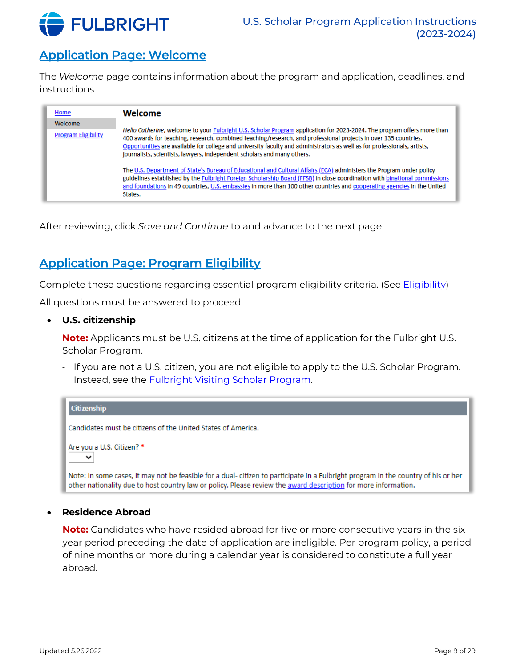

# <span id="page-8-0"></span>Application Page: Welcome

The *Welcome* page contains information about the program and application, deadlines, and instructions.

| Home                       | Welcome                                                                                                                                                                                                                                                                                                                                                                                                                                           |
|----------------------------|---------------------------------------------------------------------------------------------------------------------------------------------------------------------------------------------------------------------------------------------------------------------------------------------------------------------------------------------------------------------------------------------------------------------------------------------------|
| Welcome                    |                                                                                                                                                                                                                                                                                                                                                                                                                                                   |
| <b>Program Eligibility</b> | Hello Catherine, welcome to your Fulbright U.S. Scholar Program application for 2023-2024. The program offers more than<br>400 awards for teaching, research, combined teaching/research, and professional projects in over 135 countries.<br>Opportunities are available for college and university faculty and administrators as well as for professionals, artists,<br>journalists, scientists, lawyers, independent scholars and many others. |
|                            | The U.S. Department of State's Bureau of Educational and Cultural Affairs (ECA) administers the Program under policy<br>guidelines established by the Fulbright Foreign Scholarship Board (FFSB) in close coordination with binational commissions<br>and foundations in 49 countries, U.S. embassies in more than 100 other countries and cooperating agencies in the United<br>States.                                                          |

After reviewing, click *Save and Continue* to and advance to the next page.

# <span id="page-8-1"></span>Application Page: Program Eligibility

Complete these questions regarding essential program eligibility criteria. (See *Eligibility*)

All questions must be answered to proceed.

• **U.S. citizenship**

**Note:** Applicants must be U.S. citizens at the time of application for the Fulbright U.S. Scholar Program.

- If you are not a U.S. citizen, you are not eligible to apply to the U.S. Scholar Program. Instead, see the [Fulbright Visiting Scholar Program.](https://fulbrightscholars.org/non-us-scholars)



#### • **Residence Abroad**

**Note:** Candidates who have resided abroad for five or more consecutive years in the sixyear period preceding the date of application are ineligible. Per program policy, a period of nine months or more during a calendar year is considered to constitute a full year abroad.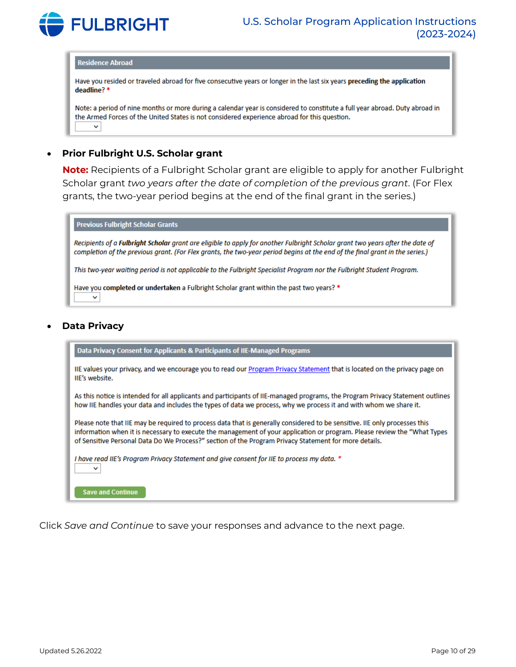

#### **Residence Abroad**

Have you resided or traveled abroad for five consecutive years or longer in the last six years preceding the application deadline?\*

Note: a period of nine months or more during a calendar year is considered to constitute a full year abroad. Duty abroad in the Armed Forces of the United States is not considered experience abroad for this question.  $\checkmark$ 

#### • **Prior Fulbright U.S. Scholar grant**

**Note:** Recipients of a Fulbright Scholar grant are eligible to apply for another Fulbright Scholar grant *two years after the date of completion of the previous grant*. (For Flex grants, the two-year period begins at the end of the final grant in the series.)

| <b>Previous Fulbright Scholar Grants</b>                                                                                                                                                                                                                      |
|---------------------------------------------------------------------------------------------------------------------------------------------------------------------------------------------------------------------------------------------------------------|
| Recipients of a Fulbright Scholar grant are eligible to apply for another Fulbright Scholar grant two years after the date of<br>completion of the previous grant. (For Flex grants, the two-year period begins at the end of the final grant in the series.) |
| This two-year waiting period is not applicable to the Fulbright Specialist Program nor the Fulbright Student Program.                                                                                                                                         |
| Have you completed or undertaken a Fulbright Scholar grant within the past two years? *<br>$\check{ }$                                                                                                                                                        |
|                                                                                                                                                                                                                                                               |

#### • **Data Privacy**

Data Privacy Consent for Applicants & Participants of IIE-Managed Programs

IIE values your privacy, and we encourage you to read our Program Privacy Statement that is located on the privacy page on IIE's website.

As this notice is intended for all applicants and participants of IIE-managed programs, the Program Privacy Statement outlines how IIE handles your data and includes the types of data we process, why we process it and with whom we share it.

Please note that IIE may be required to process data that is generally considered to be sensitive. IIE only processes this information when it is necessary to execute the management of your application or program. Please review the "What Types of Sensitive Personal Data Do We Process?" section of the Program Privacy Statement for more details.

I have read IIE's Program Privacy Statement and give consent for IIE to process my data. \*

**Save and Continue** 

 $\check{~}$ 

Click *Save and Continue* to save your responses and advance to the next page.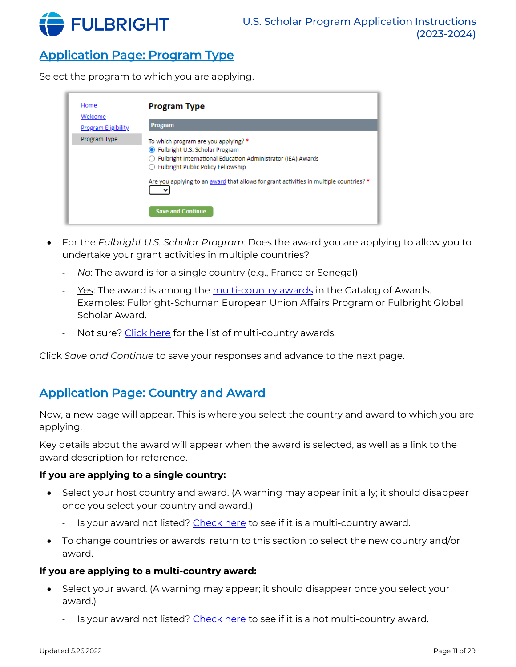

# <span id="page-10-0"></span>Application Page: Program Type

Select the program to which you are applying.

| Home<br>Welcome            | <b>Program Type</b>                                                                                                                                                                |
|----------------------------|------------------------------------------------------------------------------------------------------------------------------------------------------------------------------------|
| <b>Program Eligibility</b> | <b>Program</b>                                                                                                                                                                     |
| Program Type               | To which program are you applying? *<br>● Fulbright U.S. Scholar Program<br>◯ Fulbright International Education Administrator (IEA) Awards<br>◯ Fulbright Public Policy Fellowship |
|                            | Are you applying to an award that allows for grant activities in multiple countries? *<br><b>Save and Continue</b>                                                                 |

- For the *Fulbright U.S. Scholar Program*: Does the award you are applying to allow you to undertake your grant activities in multiple countries?
	- *No*: The award is for a single country (e.g., France <u>or</u> Senegal)
	- *Yes*: The award is among the [multi-country awards](https://fulbrightscholars.org/awards/search?query=&field_award_multi_country=1&field_award_degree_reqs=All&field_invitation_req=All) in the Catalog of Awards. Examples: Fulbright-Schuman European Union Affairs Program or Fulbright Global Scholar Award.
	- Not sure? [Click here](https://fulbrightscholars.org/awards/search?query=&field_award_multi_country=1&field_award_degree_reqs=All&field_invitation_req=All) for the list of multi-country awards.

Click *Save and Continue* to save your responses and advance to the next page.

# <span id="page-10-1"></span>Application Page: Country and Award

Now, a new page will appear. This is where you select the country and award to which you are applying.

Key details about the award will appear when the award is selected, as well as a link to the award description for reference.

#### **If you are applying to a single country:**

- Select your host country and award. (A warning may appear initially; it should disappear once you select your country and award.)
	- Is your award not listed? [Check here](https://fulbrightscholars.org/awards/search?query=&field_award_multi_country=1&field_award_degree_reqs=All&field_invitation_req=All) to see if it is a multi-country award.
- To change countries or awards, return to this section to select the new country and/or award.

#### **If you are applying to a multi-country award:**

- Select your award. (A warning may appear; it should disappear once you select your award.)
	- Is your award not listed? [Check here](https://fulbrightscholars.org/awards/search?query=&field_award_multi_country=1&field_award_degree_reqs=All&field_invitation_req=All) to see if it is a not multi-country award.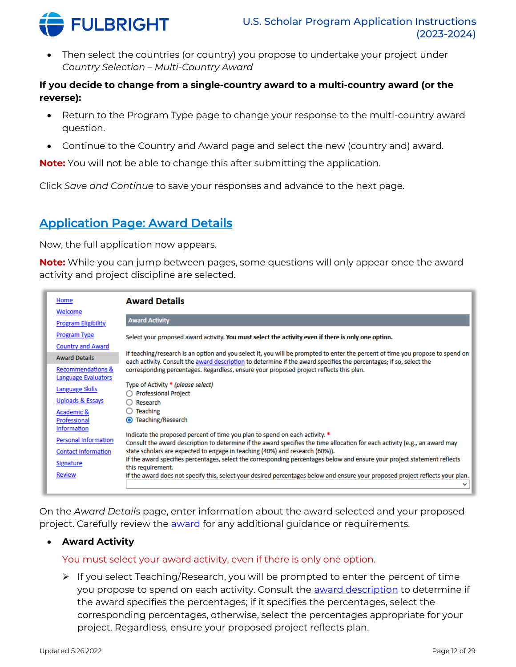

• Then select the countries (or country) you propose to undertake your project under *Country Selection – Multi-Country Award*

### **If you decide to change from a single-country award to a multi-country award (or the reverse):**

- Return to the Program Type page to change your response to the multi-country award question.
- Continue to the Country and Award page and select the new (country and) award.

**Note:** You will not be able to change this after submitting the application.

Click *Save and Continue* to save your responses and advance to the next page.

# <span id="page-11-0"></span>Application Page: Award Details

Now, the full application now appears.

**Note:** While you can jump between pages, some questions will only appear once the award activity and project discipline are selected.

| Home<br>Welcome             | <b>Award Details</b>                                                                                                                                                                                                                                  |
|-----------------------------|-------------------------------------------------------------------------------------------------------------------------------------------------------------------------------------------------------------------------------------------------------|
| <b>Program Eligibility</b>  | <b>Award Activity</b>                                                                                                                                                                                                                                 |
| <b>Program Type</b>         | Select your proposed award activity. You must select the activity even if there is only one option.                                                                                                                                                   |
| <b>Country and Award</b>    |                                                                                                                                                                                                                                                       |
| <b>Award Details</b>        | If teaching/research is an option and you select it, you will be prompted to enter the percent of time you propose to spend on<br>each activity. Consult the award description to determine if the award specifies the percentages; if so, select the |
| Recommendations &           | corresponding percentages. Regardless, ensure your proposed project reflects this plan.                                                                                                                                                               |
| Language Evaluators         |                                                                                                                                                                                                                                                       |
| Language Skills             | Type of Activity * (please select)<br><b>Professional Project</b>                                                                                                                                                                                     |
| Uploads & Essays            | Research                                                                                                                                                                                                                                              |
| Academic &                  | <b>Teaching</b>                                                                                                                                                                                                                                       |
| Professional                | Teaching/Research<br>$\odot$                                                                                                                                                                                                                          |
| <b>Information</b>          | Indicate the proposed percent of time you plan to spend on each activity. *                                                                                                                                                                           |
| <b>Personal Information</b> | Consult the award description to determine if the award specifies the time allocation for each activity (e.g., an award may                                                                                                                           |
| <b>Contact Information</b>  | state scholars are expected to engage in teaching (40%) and research (60%)).                                                                                                                                                                          |
| Signature                   | If the award specifies percentages, select the corresponding percentages below and ensure your project statement reflects<br>this requirement.                                                                                                        |
| <b>Review</b>               | If the award does not specify this, select your desired percentages below and ensure your proposed project reflects your plan.                                                                                                                        |
|                             | v                                                                                                                                                                                                                                                     |

On the *Award Details* page, enter information about the award selected and your proposed project. Carefully review the **award** for any additional guidance or requirements.

### • **Award Activity**

### You must select your award activity, even if there is only one option.

➢ If you select Teaching/Research, you will be prompted to enter the percent of time you propose to spend on each activity. Consult the **award description** to determine if the award specifies the percentages; if it specifies the percentages, select the corresponding percentages, otherwise, select the percentages appropriate for your project. Regardless, ensure your proposed project reflects plan.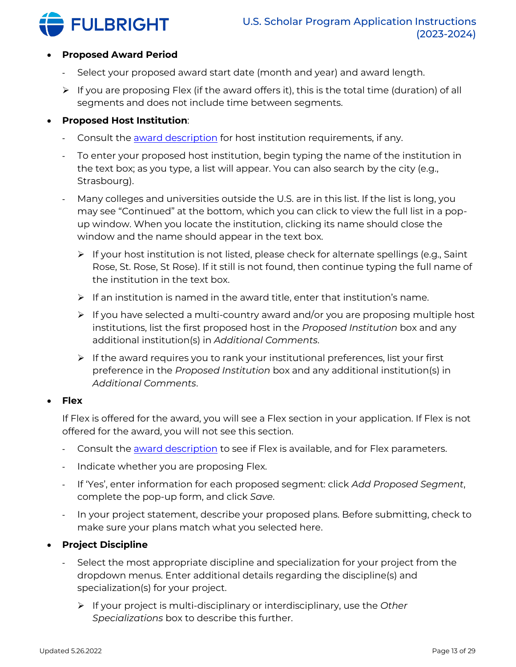

### • **Proposed Award Period**

- Select your proposed award start date (month and year) and award length.
- $\triangleright$  If you are proposing Flex (if the award offers it), this is the total time (duration) of all segments and does not include time between segments.

#### • **Proposed Host Institution**:

- Consult the [award description](https://fulbrightscholars.org/awards/search) for host institution requirements, if any.
- To enter your proposed host institution, begin typing the name of the institution in the text box; as you type, a list will appear. You can also search by the city (e.g., Strasbourg).
- Many colleges and universities outside the U.S. are in this list. If the list is long, you may see "Continued" at the bottom, which you can click to view the full list in a popup window. When you locate the institution, clicking its name should close the window and the name should appear in the text box.
	- ➢ If your host institution is not listed, please check for alternate spellings (e.g., Saint Rose, St. Rose, St Rose). If it still is not found, then continue typing the full name of the institution in the text box.
	- $\triangleright$  If an institution is named in the award title, enter that institution's name.
	- ➢ If you have selected a multi-country award and/or you are proposing multiple host institutions, list the first proposed host in the *Proposed Institution* box and any additional institution(s) in *Additional Comments*.
	- ➢ If the award requires you to rank your institutional preferences, list your first preference in the *Proposed Institution* box and any additional institution(s) in *Additional Comments*.

#### • **Flex**

If Flex is offered for the award, you will see a Flex section in your application. If Flex is not offered for the award, you will not see this section.

- Consult the [award description](https://fulbrightscholars.org/awards/search) to see if Flex is available, and for Flex parameters.
- Indicate whether you are proposing Flex.
- If 'Yes', enter information for each proposed segment: click *Add Proposed Segment*, complete the pop-up form, and click *Save*.
- In your project statement, describe your proposed plans. Before submitting, check to make sure your plans match what you selected here.

### • **Project Discipline**

- Select the most appropriate discipline and specialization for your project from the dropdown menus. Enter additional details regarding the discipline(s) and specialization(s) for your project.
	- ➢ If your project is multi-disciplinary or interdisciplinary, use the *Other Specializations* box to describe this further.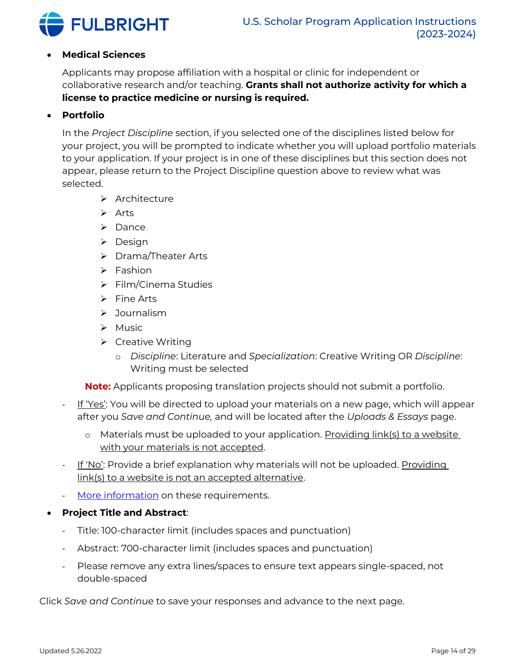

#### • **Medical Sciences**

Applicants may propose affiliation with a hospital or clinic for independent or collaborative research and/or teaching. **Grants shall not authorize activity for which a license to practice medicine or nursing is required.**

#### • **Portfolio**

In the *Project Discipline* section, if you selected one of the disciplines listed below for your project, you will be prompted to indicate whether you will upload portfolio materials to your application. If your project is in one of these disciplines but this section does not appear, please return to the Project Discipline question above to review what was selected.

- ➢ Architecture
- ➢ Arts
- ➢ Dance
- ➢ Design
- ➢ Drama/Theater Arts
- ➢ Fashion
- ➢ Film/Cinema Studies
- ➢ Fine Arts
- ➢ Journalism
- ➢ Music
- ➢ Creative Writing
	- o *Discipline*: Literature and *Specialization*: Creative Writing OR *Discipline*: Writing must be selected

**Note:** Applicants proposing translation projects should not submit a portfolio.

- If 'Yes': You will be directed to upload your materials on a new page, which will appear after you *Save and Continue,* and will be located after the *Uploads & Essays* page.
	- o Materials must be uploaded to your application. Providing link(s) to a website with your materials is not accepted.
- If 'No': Provide a brief explanation why materials will not be uploaded. Providing link(s) to a website is not an accepted alternative.
- [More information](https://fulbrightscholars.org/us-scholar-awards#steps) on these requirements.
- **Project Title and Abstract**:
	- Title: 100-character limit (includes spaces and punctuation)
	- Abstract: 700-character limit (includes spaces and punctuation)
	- Please remove any extra lines/spaces to ensure text appears single-spaced, not double-spaced

Click *Save and Continue* to save your responses and advance to the next page.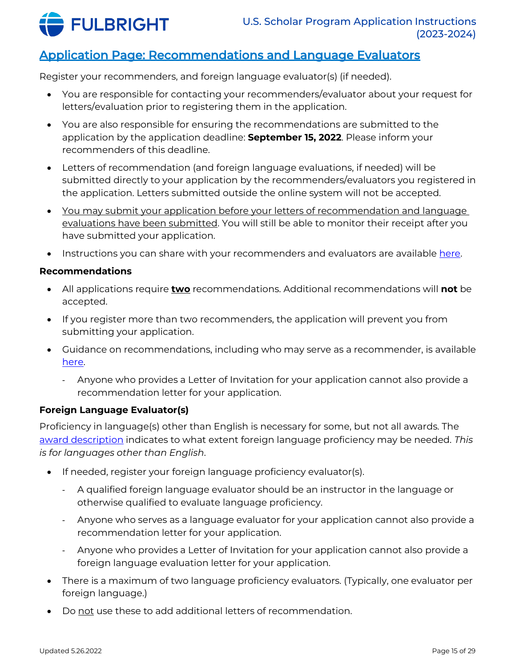

# <span id="page-14-0"></span>Application Page: Recommendations and Language Evaluators

Register your recommenders, and foreign language evaluator(s) (if needed).

- You are responsible for contacting your recommenders/evaluator about your request for letters/evaluation prior to registering them in the application.
- You are also responsible for ensuring the recommendations are submitted to the application by the application deadline: **September 15, 2022**. Please inform your recommenders of this deadline.
- Letters of recommendation (and foreign language evaluations, if needed) will be submitted directly to your application by the recommenders/evaluators you registered in the application. Letters submitted outside the online system will not be accepted.
- You may submit your application before your letters of recommendation and language evaluations have been submitted. You will still be able to monitor their receipt after you have submitted your application.
- Instructions you can share with your recommenders and evaluators are available [here.](https://fulbrightscholars.org/sites/default/files/2021-03/US_Scholar_LOR_and_FLE_Instructions_2021.pdf)

#### **Recommendations**

- All applications require **two** recommendations. Additional recommendations will **not** be accepted.
- If you register more than two recommenders, the application will prevent you from submitting your application.
- Guidance on recommendations, including who may serve as a recommender, is available [here.](https://fulbrightscholars.org/us-scholar-awards#steps)
	- Anyone who provides a Letter of Invitation for your application cannot also provide a recommendation letter for your application.

### **Foreign Language Evaluator(s)**

Proficiency in language(s) other than English is necessary for some, but not all awards. The [award description](https://fulbrightscholars.org/awards/search) indicates to what extent foreign language proficiency may be needed. *This is for languages other than English*.

- If needed, register your foreign language proficiency evaluator(s).
	- A qualified foreign language evaluator should be an instructor in the language or otherwise qualified to evaluate language proficiency.
	- Anyone who serves as a language evaluator for your application cannot also provide a recommendation letter for your application.
	- Anyone who provides a Letter of Invitation for your application cannot also provide a foreign language evaluation letter for your application.
- There is a maximum of two language proficiency evaluators. (Typically, one evaluator per foreign language.)
- Do not use these to add additional letters of recommendation.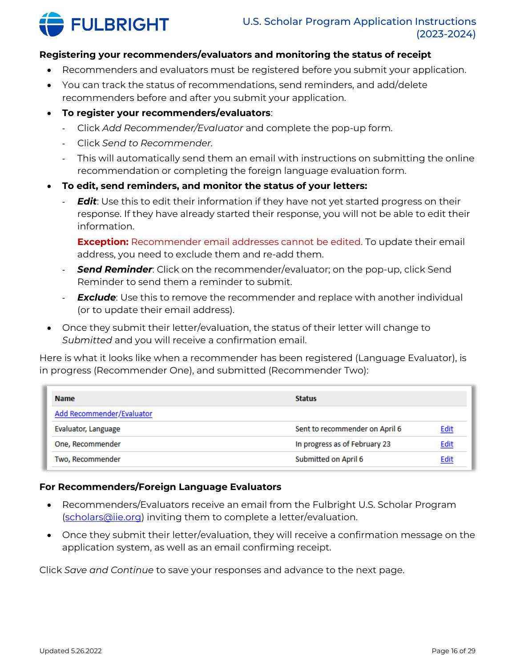

#### **Registering your recommenders/evaluators and monitoring the status of receipt**

- Recommenders and evaluators must be registered before you submit your application.
- You can track the status of recommendations, send reminders, and add/delete recommenders before and after you submit your application.
- **To register your recommenders/evaluators**:
	- Click *Add Recommender/Evaluator* and complete the pop-up form.
	- Click *Send to Recommender.*
	- This will automatically send them an email with instructions on submitting the online recommendation or completing the foreign language evaluation form.
- **To edit, send reminders, and monitor the status of your letters:**
	- *Edit*: Use this to edit their information if they have not yet started progress on their response. If they have already started their response, you will not be able to edit their information.

**Exception:** Recommender email addresses cannot be edited. To update their email address, you need to exclude them and re-add them.

- *Send Reminder*: Click on the recommender/evaluator; on the pop-up, click Send Reminder to send them a reminder to submit.
- *Exclude*: Use this to remove the recommender and replace with another individual (or to update their email address).
- Once they submit their letter/evaluation, the status of their letter will change to *Submitted* and you will receive a confirmation email.

Here is what it looks like when a recommender has been registered (Language Evaluator), is in progress (Recommender One), and submitted (Recommender Two):

| <b>Name</b>               | <b>Status</b>                  |             |
|---------------------------|--------------------------------|-------------|
| Add Recommender/Evaluator |                                |             |
| Evaluator, Language       | Sent to recommender on April 6 | <b>Edit</b> |
| One, Recommender          | In progress as of February 23  | <b>Edit</b> |
| Two, Recommender          | Submitted on April 6           | Edit        |

#### **For Recommenders/Foreign Language Evaluators**

- Recommenders/Evaluators receive an email from the Fulbright U.S. Scholar Program [\(scholars@iie.org\)](mailto:scholars@iie.org) inviting them to complete a letter/evaluation.
- Once they submit their letter/evaluation, they will receive a confirmation message on the application system, as well as an email confirming receipt.

Click *Save and Continue* to save your responses and advance to the next page.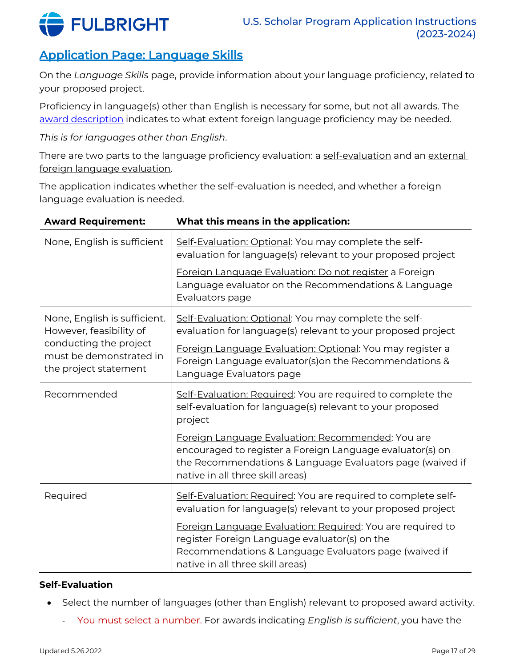

# <span id="page-16-0"></span>Application Page: Language Skills

On the *Language Skills* page, provide information about your language proficiency, related to your proposed project.

Proficiency in language(s) other than English is necessary for some, but not all awards. The [award description](https://fulbrightscholars.org/awards/search) indicates to what extent foreign language proficiency may be needed.

*This is for languages other than English*.

There are two parts to the language proficiency evaluation: a self-evaluation and an external foreign language evaluation.

The application indicates whether the self-evaluation is needed, and whether a foreign language evaluation is needed.

| <b>Award Requirement:</b>                                                  | What this means in the application:                                                                                                                                                                             |
|----------------------------------------------------------------------------|-----------------------------------------------------------------------------------------------------------------------------------------------------------------------------------------------------------------|
| None, English is sufficient                                                | Self-Evaluation: Optional: You may complete the self-<br>evaluation for language(s) relevant to your proposed project                                                                                           |
|                                                                            | Foreign Language Evaluation: Do not register a Foreign<br>Language evaluator on the Recommendations & Language<br>Evaluators page                                                                               |
| None, English is sufficient.<br>However, feasibility of                    | Self-Evaluation: Optional: You may complete the self-<br>evaluation for language(s) relevant to your proposed project                                                                                           |
| conducting the project<br>must be demonstrated in<br>the project statement | Foreign Language Evaluation: Optional: You may register a<br>Foreign Language evaluator(s) on the Recommendations &<br>Language Evaluators page                                                                 |
| Recommended                                                                | Self-Evaluation: Required: You are required to complete the<br>self-evaluation for language(s) relevant to your proposed<br>project                                                                             |
|                                                                            | Foreign Language Evaluation: Recommended: You are<br>encouraged to register a Foreign Language evaluator(s) on<br>the Recommendations & Language Evaluators page (waived if<br>native in all three skill areas) |
| Required                                                                   | Self-Evaluation: Required: You are required to complete self-<br>evaluation for language(s) relevant to your proposed project                                                                                   |
|                                                                            | Foreign Language Evaluation: Required: You are required to<br>register Foreign Language evaluator(s) on the<br>Recommendations & Language Evaluators page (waived if<br>native in all three skill areas)        |

### **Self-Evaluation**

- Select the number of languages (other than English) relevant to proposed award activity.
	- You must select a number. For awards indicating *English is sufficient*, you have the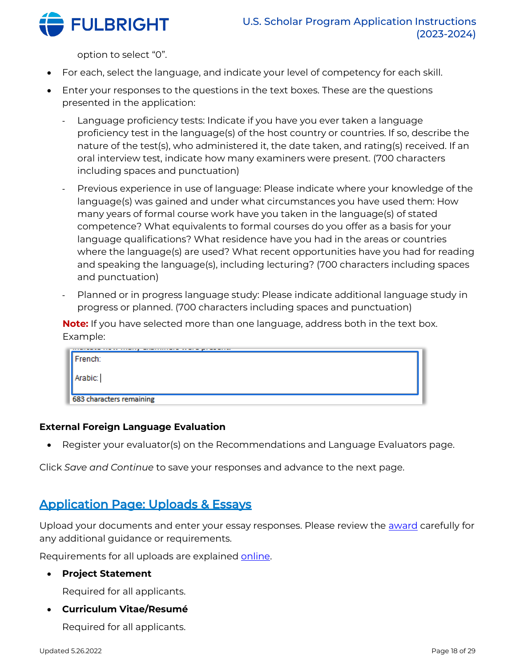

option to select "0".

- For each, select the language, and indicate your level of competency for each skill.
- Enter your responses to the questions in the text boxes. These are the questions presented in the application:
	- Language proficiency tests: Indicate if you have you ever taken a language proficiency test in the language(s) of the host country or countries. If so, describe the nature of the test(s), who administered it, the date taken, and rating(s) received. If an oral interview test, indicate how many examiners were present. (700 characters including spaces and punctuation)
	- Previous experience in use of language: Please indicate where your knowledge of the language(s) was gained and under what circumstances you have used them: How many years of formal course work have you taken in the language(s) of stated competence? What equivalents to formal courses do you offer as a basis for your language qualifications? What residence have you had in the areas or countries where the language(s) are used? What recent opportunities have you had for reading and speaking the language(s), including lecturing? (700 characters including spaces and punctuation)
	- Planned or in progress language study: Please indicate additional language study in progress or planned. (700 characters including spaces and punctuation)

**Note:** If you have selected more than one language, address both in the text box. Example:

| 1.1.1<br>French:         |  |
|--------------------------|--|
|                          |  |
| Arabic:                  |  |
|                          |  |
| 683 characters remaining |  |

#### **External Foreign Language Evaluation**

• Register your evaluator(s) on the Recommendations and Language Evaluators page.

Click *Save and Continue* to save your responses and advance to the next page.

# <span id="page-17-0"></span>Application Page: Uploads & Essays

Upload your documents and enter your essay responses. Please review the **award** carefully for any additional guidance or requirements.

Requirements for all uploads are explained [online.](https://fulbrightscholars.org/us-scholar-awards#steps)

• **Project Statement**

Required for all applicants.

• **Curriculum Vitae/Resumé**

Required for all applicants.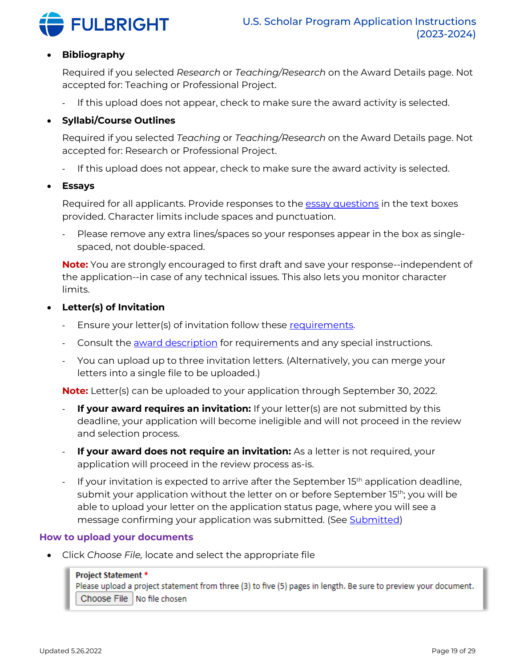

#### • **Bibliography**

Required if you selected *Research* or *Teaching/Research* on the Award Details page. Not accepted for: Teaching or Professional Project.

If this upload does not appear, check to make sure the award activity is selected.

#### • **Syllabi/Course Outlines**

Required if you selected *Teaching* or *Teaching/Research* on the Award Details page. Not accepted for: Research or Professional Project.

- If this upload does not appear, check to make sure the award activity is selected.
- **Essays**

Required for all applicants. Provide responses to th[e essay questions](https://fulbrightscholars.org/us-scholar-awards#steps) in the text boxes provided. Character limits include spaces and punctuation.

- Please remove any extra lines/spaces so your responses appear in the box as singlespaced, not double-spaced.

**Note:** You are strongly encouraged to first draft and save your response--independent of the application--in case of any technical issues. This also lets you monitor character limits.

- **Letter(s) of Invitation**
	- Ensure your letter(s) of invitation follow these [requirements.](https://fulbrightscholars.org/us-scholar-awards#steps)
	- Consult the **award description** for requirements and any special instructions.
	- You can upload up to three invitation letters. (Alternatively, you can merge your letters into a single file to be uploaded.)

**Note:** Letter(s) can be uploaded to your application through September 30, 2022.

- **If your award requires an invitation:** If your letter(s) are not submitted by this deadline, your application will become ineligible and will not proceed in the review and selection process.
- **If your award does not require an invitation:** As a letter is not required, your application will proceed in the review process as-is.
- If your invitation is expected to arrive after the September 15<sup>th</sup> application deadline, submit your application without the letter on or before September 15<sup>th</sup>; you will be able to upload your letter on the application status page, where you will see a message confirming your application was submitted. (See [Submitted\)](#page-27-0)

#### <span id="page-18-0"></span>**How to upload your documents**

• Click *Choose File,* locate and select the appropriate file

#### **Project Statement \***

Please upload a project statement from three (3) to five (5) pages in length. Be sure to preview your document. Choose File | No file chosen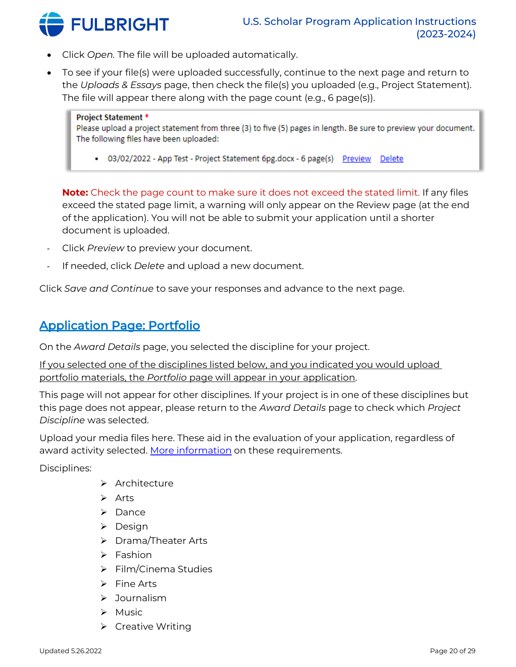

- Click *Open.* The file will be uploaded automatically.
- To see if your file(s) were uploaded successfully, continue to the next page and return to the *Uploads & Essays* page, then check the file(s) you uploaded (e.g., Project Statement). The file will appear there along with the page count (e.g., 6 page(s)).

#### **Project Statement \***

Please upload a project statement from three (3) to five (5) pages in length. Be sure to preview your document. The following files have been uploaded:

• 03/02/2022 - App Test - Project Statement 6pg.docx - 6 page(s) Preview Delete

**Note:** Check the page count to make sure it does not exceed the stated limit. If any files exceed the stated page limit, a warning will only appear on the Review page (at the end of the application). You will not be able to submit your application until a shorter document is uploaded.

- Click *Preview* to preview your document.
- If needed, click *Delete* and upload a new document.

Click *Save and Continue* to save your responses and advance to the next page.

# <span id="page-19-0"></span>Application Page: Portfolio

On the *Award Details* page, you selected the discipline for your project.

If you selected one of the disciplines listed below, and you indicated you would upload portfolio materials, the *Portfolio* page will appear in your application.

This page will not appear for other disciplines. If your project is in one of these disciplines but this page does not appear, please return to the *Award Details* page to check which *Project Discipline* was selected.

Upload your media files here. These aid in the evaluation of your application, regardless of award activity selected. [More information](https://fulbrightscholars.org/us-scholar-awards#steps) on these requirements.

Disciplines:

- ➢ Architecture
- ➢ Arts
- ➢ Dance
- ➢ Design
- ➢ Drama/Theater Arts
- ➢ Fashion
- ➢ Film/Cinema Studies
- ➢ Fine Arts
- ➢ Journalism
- ➢ Music
- ➢ Creative Writing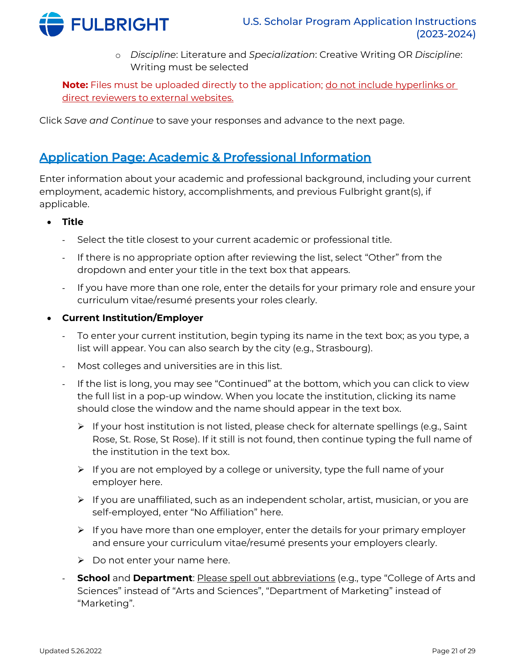

o *Discipline*: Literature and *Specialization*: Creative Writing OR *Discipline*: Writing must be selected

**Note:** Files must be uploaded directly to the application; do not include hyperlinks or direct reviewers to external websites.

Click *Save and Continue* to save your responses and advance to the next page.

# <span id="page-20-0"></span>Application Page: Academic & Professional Information

Enter information about your academic and professional background, including your current employment, academic history, accomplishments, and previous Fulbright grant(s), if applicable.

- **Title**
	- Select the title closest to your current academic or professional title.
	- If there is no appropriate option after reviewing the list, select "Other" from the dropdown and enter your title in the text box that appears.
	- If you have more than one role, enter the details for your primary role and ensure your curriculum vitae/resumé presents your roles clearly.
- **Current Institution/Employer**
	- To enter your current institution, begin typing its name in the text box; as you type, a list will appear. You can also search by the city (e.g., Strasbourg).
	- Most colleges and universities are in this list.
	- If the list is long, you may see "Continued" at the bottom, which you can click to view the full list in a pop-up window. When you locate the institution, clicking its name should close the window and the name should appear in the text box.
		- $\triangleright$  If your host institution is not listed, please check for alternate spellings (e.g., Saint Rose, St. Rose, St Rose). If it still is not found, then continue typing the full name of the institution in the text box.
		- ➢ If you are not employed by a college or university, type the full name of your employer here.
		- ➢ If you are unaffiliated, such as an independent scholar, artist, musician, or you are self-employed, enter "No Affiliation" here.
		- ➢ If you have more than one employer, enter the details for your primary employer and ensure your curriculum vitae/resumé presents your employers clearly.
		- $\triangleright$  Do not enter your name here.
	- **School** and **Department**: Please spell out abbreviations (e.g., type "College of Arts and Sciences" instead of "Arts and Sciences", "Department of Marketing" instead of "Marketing".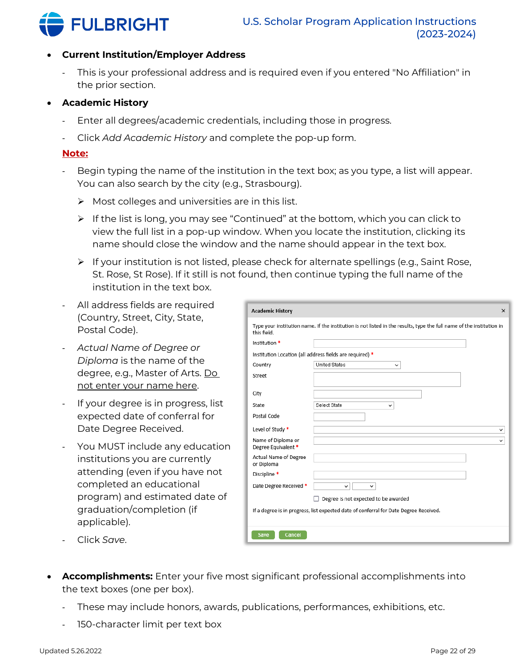

#### • **Current Institution/Employer Address**

- This is your professional address and is required even if you entered "No Affiliation" in the prior section.

### • **Academic History**

- Enter all degrees/academic credentials, including those in progress.
- Click *Add Academic History* and complete the pop-up form.

#### **Note:**

- Begin typing the name of the institution in the text box; as you type, a list will appear. You can also search by the city (e.g., Strasbourg).
	- $\triangleright$  Most colleges and universities are in this list.
	- $\triangleright$  If the list is long, you may see "Continued" at the bottom, which you can click to view the full list in a pop-up window. When you locate the institution, clicking its name should close the window and the name should appear in the text box.
	- $\triangleright$  If your institution is not listed, please check for alternate spellings (e.g., Saint Rose, St. Rose, St Rose). If it still is not found, then continue typing the full name of the institution in the text box.
- All address fields are required (Country, Street, City, State, Postal Code).
- *Actual Name of Degree or Diploma* is the name of the degree, e.g., Master of Arts. Do not enter your name here.
- If your degree is in progress, list expected date of conferral for Date Degree Received.
- You MUST include any education institutions you are currently attending (even if you have not completed an educational program) and estimated date of graduation/completion (if applicable).

| <b>Academic History</b>                   |                                                                                                                       | $\times$ |
|-------------------------------------------|-----------------------------------------------------------------------------------------------------------------------|----------|
| this field.                               | Type your institution name. If the institution is not listed in the results, type the full name of the institution in |          |
| Institution *                             |                                                                                                                       |          |
|                                           | Institution Location (all address fields are required) *                                                              |          |
| Country                                   | <b>United States</b><br>$\check{ }$                                                                                   |          |
| Street                                    |                                                                                                                       |          |
| City                                      |                                                                                                                       |          |
| State                                     | Select State<br>v                                                                                                     |          |
| Postal Code                               |                                                                                                                       |          |
| Level of Study *                          |                                                                                                                       | v        |
| Name of Diploma or<br>Degree Equivalent * |                                                                                                                       | v        |
| Actual Name of Degree<br>or Diploma       |                                                                                                                       |          |
| Discipline *                              |                                                                                                                       |          |
| Date Degree Received *                    | $\checkmark$<br>v                                                                                                     |          |
|                                           | Degree is not expected to be awarded                                                                                  |          |
|                                           | If a degree is in progress, list expected date of conferral for Date Degree Received.                                 |          |
| Cancel<br>Save                            |                                                                                                                       |          |

- Click *Save*.
- **Accomplishments:** Enter your five most significant professional accomplishments into the text boxes (one per box).
	- These may include honors, awards, publications, performances, exhibitions, etc.
	- 150-character limit per text box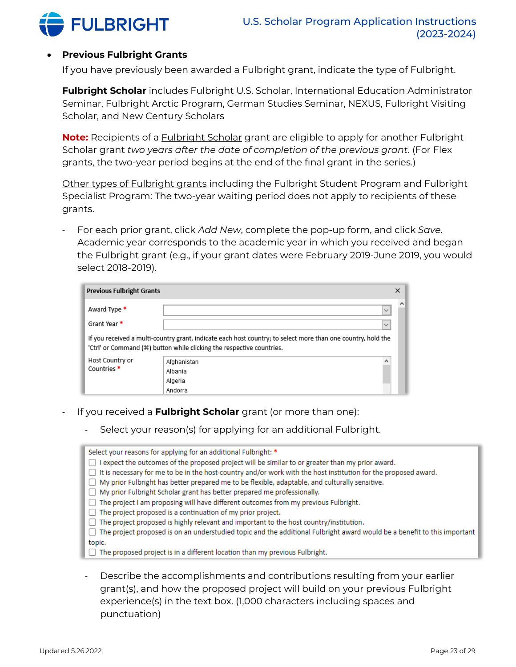

#### • **Previous Fulbright Grants**

If you have previously been awarded a Fulbright grant, indicate the type of Fulbright.

**Fulbright Scholar** includes Fulbright U.S. Scholar, International Education Administrator Seminar, Fulbright Arctic Program, German Studies Seminar, NEXUS, Fulbright Visiting Scholar, and New Century Scholars

**Note:** Recipients of a Fulbright Scholar grant are eligible to apply for another Fulbright Scholar grant *two years after the date of completion of the previous grant*. (For Flex grants, the two-year period begins at the end of the final grant in the series.)

Other types of Fulbright grants including the Fulbright Student Program and Fulbright Specialist Program: The two-year waiting period does not apply to recipients of these grants.

- For each prior grant, click *Add New*, complete the pop-up form, and click *Save*. Academic year corresponds to the academic year in which you received and began the Fulbright grant (e.g., if your grant dates were February 2019-June 2019, you would select 2018-2019).

| <b>Previous Fulbright Grants</b>          |                                                                                                                                                                                       | × |
|-------------------------------------------|---------------------------------------------------------------------------------------------------------------------------------------------------------------------------------------|---|
| Award Type *<br>Grant Year *              | $\checkmark$<br>$\checkmark$                                                                                                                                                          | Α |
|                                           | If you received a multi-country grant, indicate each host country; to select more than one country, hold the<br>'Ctrl' or Command (*) button while clicking the respective countries. |   |
| Host Country or<br>Countries <sup>*</sup> | ۸<br>Afghanistan<br>Albania<br>Algeria<br>Andorra                                                                                                                                     |   |

- If you received a **Fulbright Scholar** grant (or more than one):
	- Select your reason(s) for applying for an additional Fulbright.

| Select your reasons for applying for an additional Fulbright: *                                                            |
|----------------------------------------------------------------------------------------------------------------------------|
| $\Box$ I expect the outcomes of the proposed project will be similar to or greater than my prior award.                    |
| □ It is necessary for me to be in the host-country and/or work with the host institution for the proposed award.           |
| □ My prior Fulbright has better prepared me to be flexible, adaptable, and culturally sensitive.                           |
| □ My prior Fulbright Scholar grant has better prepared me professionally.                                                  |
| $\Box$ The project I am proposing will have different outcomes from my previous Fulbright.                                 |
| $\Box$ The project proposed is a continuation of my prior project.                                                         |
| $\Box$ The project proposed is highly relevant and important to the host country/institution.                              |
| □ The project proposed is on an understudied topic and the additional Fulbright award would be a benefit to this important |
| topic.                                                                                                                     |
| $\Box$ The proposed project is in a different location than my previous Fulbright.                                         |

Describe the accomplishments and contributions resulting from your earlier grant(s), and how the proposed project will build on your previous Fulbright experience(s) in the text box. (1,000 characters including spaces and punctuation)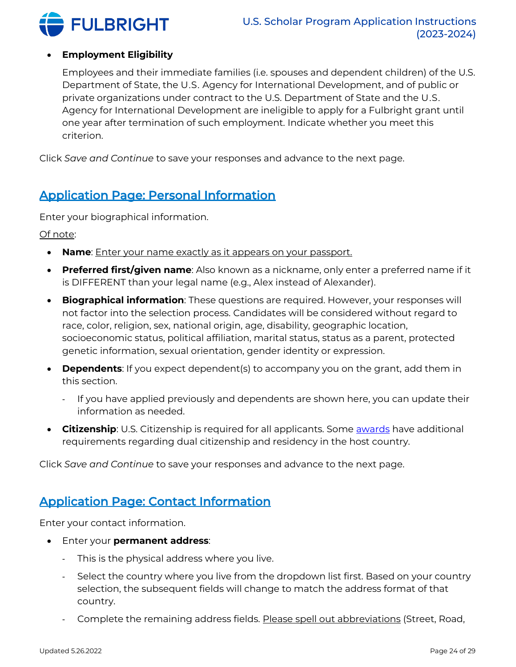

### • **Employment Eligibility**

Employees and their immediate families (i.e. spouses and dependent children) of the U.S. Department of State, the U․S․ Agency for International Development, and of public or private organizations under contract to the U.S. Department of State and the U․S․ Agency for International Development are ineligible to apply for a Fulbright grant until one year after termination of such employment. Indicate whether you meet this criterion.

Click *Save and Continue* to save your responses and advance to the next page.

# <span id="page-23-0"></span>Application Page: Personal Information

Enter your biographical information.

Of note:

- **Name**: Enter your name exactly as it appears on your passport.
- **Preferred first/given name**: Also known as a nickname, only enter a preferred name if it is DIFFERENT than your legal name (e.g., Alex instead of Alexander).
- **Biographical information**: These questions are required. However, your responses will not factor into the selection process. Candidates will be considered without regard to race, color, religion, sex, national origin, age, disability, geographic location, socioeconomic status, political affiliation, marital status, status as a parent, protected genetic information, sexual orientation, gender identity or expression.
- **Dependents**: If you expect dependent(s) to accompany you on the grant, add them in this section.
	- If you have applied previously and dependents are shown here, you can update their information as needed.
- **Citizenship**: U.S. Citizenship is required for all applicants. Some **awards** have additional requirements regarding dual citizenship and residency in the host country.

Click *Save and Continue* to save your responses and advance to the next page.

# <span id="page-23-1"></span>Application Page: Contact Information

Enter your contact information.

- Enter your **permanent address**:
	- This is the physical address where you live.
	- Select the country where you live from the dropdown list first. Based on your country selection, the subsequent fields will change to match the address format of that country.
	- Complete the remaining address fields. Please spell out abbreviations (Street, Road,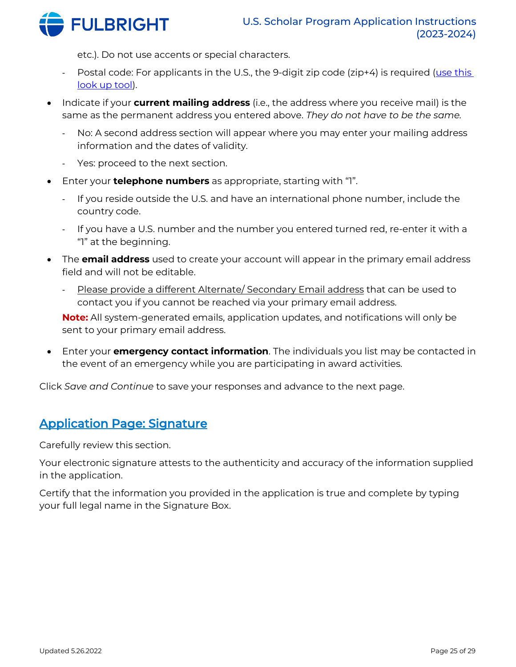

etc.). Do not use accents or special characters.

- Postal code: For applicants in the U.S., the 9-digit zip code (zip+4) is required (use this [look up tool\)](http://zip4.usps.com/zip4/).
- Indicate if your **current mailing address** (i.e., the address where you receive mail) is the same as the permanent address you entered above. *They do not have to be the same.*
	- No: A second address section will appear where you may enter your mailing address information and the dates of validity.
	- Yes: proceed to the next section.
- Enter your **telephone numbers** as appropriate, starting with "1".
	- If you reside outside the U.S. and have an international phone number, include the country code.
	- If you have a U.S. number and the number you entered turned red, re-enter it with a "1" at the beginning.
- The **email address** used to create your account will appear in the primary email address field and will not be editable.
	- Please provide a different Alternate/ Secondary Email address that can be used to contact you if you cannot be reached via your primary email address.

**Note:** All system-generated emails, application updates, and notifications will only be sent to your primary email address.

• Enter your **emergency contact information**. The individuals you list may be contacted in the event of an emergency while you are participating in award activities.

Click *Save and Continue* to save your responses and advance to the next page.

# <span id="page-24-0"></span>Application Page: Signature

Carefully review this section.

Your electronic signature attests to the authenticity and accuracy of the information supplied in the application.

Certify that the information you provided in the application is true and complete by typing your full legal name in the Signature Box.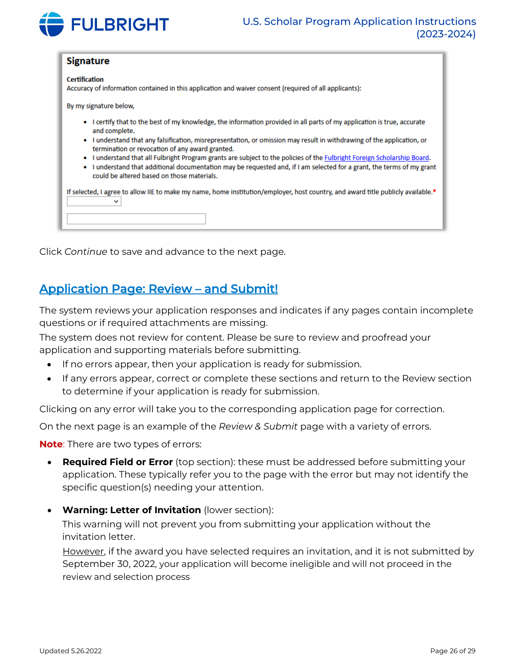

#### **Signature**

**Certification** Accuracy of information contained in this application and waiver consent (required of all applicants):

By my signature below,

- I certify that to the best of my knowledge, the information provided in all parts of my application is true, accurate and complete.
- . I understand that any falsification, misrepresentation, or omission may result in withdrawing of the application, or termination or revocation of any award granted.
- I understand that all Fulbright Program grants are subject to the policies of the Fulbright Foreign Scholarship Board.
- . I understand that additional documentation may be requested and, if I am selected for a grant, the terms of my grant could be altered based on those materials.

| If selected, I agree to allow IIE to make my name, home institution/employer, host country, and award title publicly available.* |
|----------------------------------------------------------------------------------------------------------------------------------|
|                                                                                                                                  |
|                                                                                                                                  |

Click *Continue* to save and advance to the next page.

# <span id="page-25-0"></span>Application Page: Review – and Submit!

The system reviews your application responses and indicates if any pages contain incomplete questions or if required attachments are missing.

The system does not review for content. Please be sure to review and proofread your application and supporting materials before submitting.

- If no errors appear, then your application is ready for submission.
- If any errors appear, correct or complete these sections and return to the Review section to determine if your application is ready for submission.

Clicking on any error will take you to the corresponding application page for correction.

On the next page is an example of the *Review & Submit* page with a variety of errors.

**Note**: There are two types of errors:

- **Required Field or Error** (top section): these must be addressed before submitting your application. These typically refer you to the page with the error but may not identify the specific question(s) needing your attention.
- **Warning: Letter of Invitation** (lower section):

This warning will not prevent you from submitting your application without the invitation letter.

However, if the award you have selected requires an invitation, and it is not submitted by September 30, 2022, your application will become ineligible and will not proceed in the review and selection process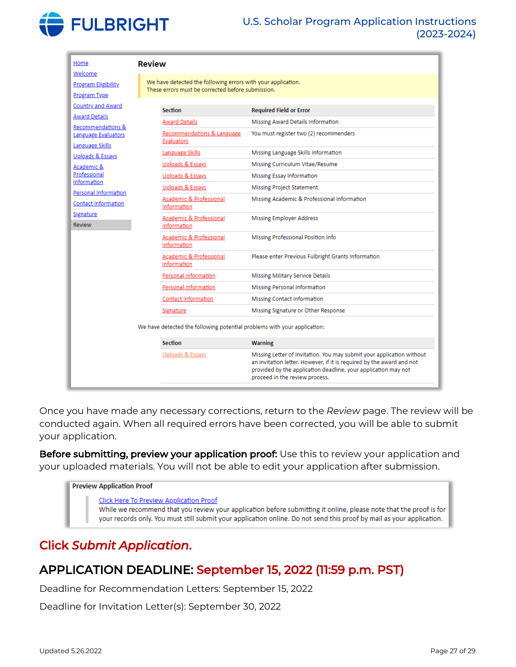

| Welcome<br>We have detected the following errors with your application.<br><b>Program Eligibility</b><br>These errors must be corrected before submission.<br><b>Program Type</b><br><b>Country and Award</b><br><b>Section</b><br><b>Required Field or Error</b><br><b>Award Details</b><br><b>Award Details</b><br>Missing Award Details Information<br>Recommendations &<br>Recommendations & Language<br>You must register two (2) recommenders<br><b>Language Evaluators</b><br>Evaluators<br>Language Skills<br>Language Skills<br>Missing Language Skills Information<br>Uploads & Essays<br>Missing Curriculum Vitae/Resume<br>Uploads & Essays<br>Academic & |  |  |  |
|-----------------------------------------------------------------------------------------------------------------------------------------------------------------------------------------------------------------------------------------------------------------------------------------------------------------------------------------------------------------------------------------------------------------------------------------------------------------------------------------------------------------------------------------------------------------------------------------------------------------------------------------------------------------------|--|--|--|
|                                                                                                                                                                                                                                                                                                                                                                                                                                                                                                                                                                                                                                                                       |  |  |  |
|                                                                                                                                                                                                                                                                                                                                                                                                                                                                                                                                                                                                                                                                       |  |  |  |
|                                                                                                                                                                                                                                                                                                                                                                                                                                                                                                                                                                                                                                                                       |  |  |  |
|                                                                                                                                                                                                                                                                                                                                                                                                                                                                                                                                                                                                                                                                       |  |  |  |
|                                                                                                                                                                                                                                                                                                                                                                                                                                                                                                                                                                                                                                                                       |  |  |  |
|                                                                                                                                                                                                                                                                                                                                                                                                                                                                                                                                                                                                                                                                       |  |  |  |
|                                                                                                                                                                                                                                                                                                                                                                                                                                                                                                                                                                                                                                                                       |  |  |  |
|                                                                                                                                                                                                                                                                                                                                                                                                                                                                                                                                                                                                                                                                       |  |  |  |
| Professional<br>Uploads & Essays<br><b>Missing Essay Information</b>                                                                                                                                                                                                                                                                                                                                                                                                                                                                                                                                                                                                  |  |  |  |
| Information<br>Uploads & Essays<br><b>Missing Project Statement</b>                                                                                                                                                                                                                                                                                                                                                                                                                                                                                                                                                                                                   |  |  |  |
| Personal Information<br>Academic & Professional<br>Missing Academic & Professional Information                                                                                                                                                                                                                                                                                                                                                                                                                                                                                                                                                                        |  |  |  |
| <b>Contact Information</b><br>Information                                                                                                                                                                                                                                                                                                                                                                                                                                                                                                                                                                                                                             |  |  |  |
| Signature<br>Academic & Professional<br><b>Missing Employer Address</b><br>Review<br>Information                                                                                                                                                                                                                                                                                                                                                                                                                                                                                                                                                                      |  |  |  |
| Academic & Professional<br>Missing Professional Position Info<br>Information                                                                                                                                                                                                                                                                                                                                                                                                                                                                                                                                                                                          |  |  |  |
| Academic & Professional<br>Please enter Previous Fulbright Grants Information<br>Information                                                                                                                                                                                                                                                                                                                                                                                                                                                                                                                                                                          |  |  |  |
| Personal Information<br><b>Missing Military Service Details</b>                                                                                                                                                                                                                                                                                                                                                                                                                                                                                                                                                                                                       |  |  |  |
| Personal Information<br><b>Missing Personal Information</b>                                                                                                                                                                                                                                                                                                                                                                                                                                                                                                                                                                                                           |  |  |  |
| Contact Information<br><b>Missing Contact Information</b>                                                                                                                                                                                                                                                                                                                                                                                                                                                                                                                                                                                                             |  |  |  |
| Missing Signature or Other Response<br><u>Signature</u>                                                                                                                                                                                                                                                                                                                                                                                                                                                                                                                                                                                                               |  |  |  |
| We have detected the following potential problems with your application:                                                                                                                                                                                                                                                                                                                                                                                                                                                                                                                                                                                              |  |  |  |
| <b>Section</b><br><b>Warning</b>                                                                                                                                                                                                                                                                                                                                                                                                                                                                                                                                                                                                                                      |  |  |  |
| Uploads & Essays<br>Missing Letter of Invitation. You may submit your application without<br>an invitation letter. However, if it is required by the award and not<br>provided by the application deadline, your application may not<br>proceed in the review process.                                                                                                                                                                                                                                                                                                                                                                                                |  |  |  |

Once you have made any necessary corrections, return to the *Review* page. The review will be conducted again. When all required errors have been corrected, you will be able to submit your application.

Before submitting, preview your application proof: Use this to review your application and your uploaded materials. You will not be able to edit your application after submission.

#### **Preview Application Proof**

**Click Here To Preview Application Proof** While we recommend that you review your application before submitting it online, please note that the proof is for your records only. You must still submit your application online. Do not send this proof by mail as your application.

# Click *Submit Application*.

# APPLICATION DEADLINE: September 15, 2022 (11:59 p.m. PST)

Deadline for Recommendation Letters: September 15, 2022

Deadline for Invitation Letter(s): September 30, 2022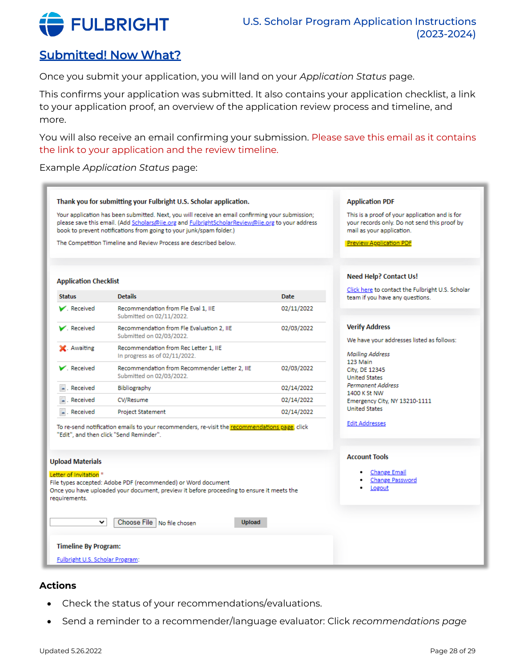

# <span id="page-27-0"></span>Submitted! Now What?

Once you submit your application, you will land on your *Application Status* page.

This confirms your application was submitted. It also contains your application checklist, a link to your application proof, an overview of the application review process and timeline, and more.

You will also receive an email confirming your submission. Please save this email as it contains the link to your application and the review timeline.

Example *Application Status* page:

|                                                    | Thank you for submitting your Fulbright U.S. Scholar application.                                                                                                                                                                                                           |             | <b>Application PDF</b>                                                                                                      |
|----------------------------------------------------|-----------------------------------------------------------------------------------------------------------------------------------------------------------------------------------------------------------------------------------------------------------------------------|-------------|-----------------------------------------------------------------------------------------------------------------------------|
|                                                    | Your application has been submitted. Next, you will receive an email confirming your submission;<br>please save this email. (Add Scholars@ije.org and FulbrightScholarReview@ije.org to your address<br>book to prevent notifications from going to your junk/spam folder.) |             | This is a proof of your application and is for<br>your records only. Do not send this proof by<br>mail as your application. |
|                                                    | The Competition Timeline and Review Process are described below.                                                                                                                                                                                                            |             | <b>Preview Application PDF</b>                                                                                              |
|                                                    |                                                                                                                                                                                                                                                                             |             |                                                                                                                             |
| <b>Application Checklist</b>                       |                                                                                                                                                                                                                                                                             |             | <b>Need Help? Contact Us!</b>                                                                                               |
| <b>Status</b>                                      | <b>Details</b>                                                                                                                                                                                                                                                              | <b>Date</b> | Click here to contact the Fulbright U.S. Scholar<br>team if you have any questions.                                         |
| $\blacktriangleright$ Received                     | Recommendation from Fle Eval 1, IIE<br>Submitted on 02/11/2022.                                                                                                                                                                                                             | 02/11/2022  |                                                                                                                             |
| $\blacktriangleright$ . Received                   | Recommendation from Fle Evaluation 2, IIE<br>Submitted on 02/03/2022.                                                                                                                                                                                                       | 02/03/2022  | <b>Verify Address</b>                                                                                                       |
| X. Awaiting                                        | Recommendation from Rec Letter 1. IIE<br>In progress as of 02/11/2022.                                                                                                                                                                                                      |             | We have your addresses listed as follows:<br><b>Mailing Address</b>                                                         |
| $\blacktriangleright$ Received                     | Recommendation from Recommender Letter 2, IIE<br>Submitted on 02/03/2022.                                                                                                                                                                                                   | 02/03/2022  | 123 Main<br>City, DE 12345<br><b>United States</b>                                                                          |
| $\blacksquare$ . Received                          | Bibliography                                                                                                                                                                                                                                                                | 02/14/2022  | <b>Permanent Address</b><br>1400 K St NW                                                                                    |
| . Received                                         | CV/Resume                                                                                                                                                                                                                                                                   | 02/14/2022  | Emergency City, NY 13210-1111                                                                                               |
| . Received                                         | <b>Project Statement</b>                                                                                                                                                                                                                                                    | 02/14/2022  | <b>United States</b>                                                                                                        |
|                                                    | To re-send notification emails to your recommenders, re-visit the recommendations page, click<br>"Edit", and then click "Send Reminder".                                                                                                                                    |             | <b>Edit Addresses</b>                                                                                                       |
| <b>Upload Materials</b>                            |                                                                                                                                                                                                                                                                             |             | <b>Account Tools</b>                                                                                                        |
| Letter of Invitation <sup>*</sup><br>requirements. | File types accepted: Adobe PDF (recommended) or Word document<br>Once you have uploaded your document, preview it before proceeding to ensure it meets the                                                                                                                  |             | <b>Change Email</b><br>Change Password<br>Logout                                                                            |
| ◡                                                  | Choose File   No file chosen<br><b>Upload</b>                                                                                                                                                                                                                               |             |                                                                                                                             |
|                                                    |                                                                                                                                                                                                                                                                             |             |                                                                                                                             |
| <b>Timeline By Program:</b>                        |                                                                                                                                                                                                                                                                             |             |                                                                                                                             |

## **Actions**

- Check the status of your recommendations/evaluations.
- Send a reminder to a recommender/language evaluator: Click *recommendations page*